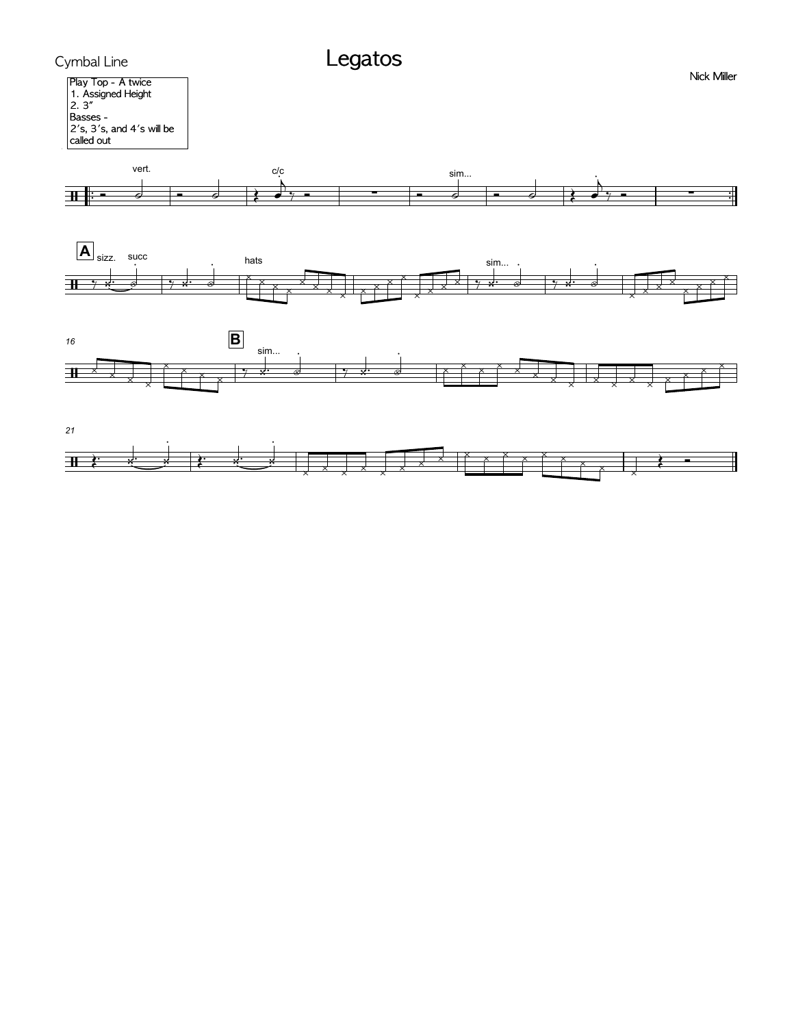







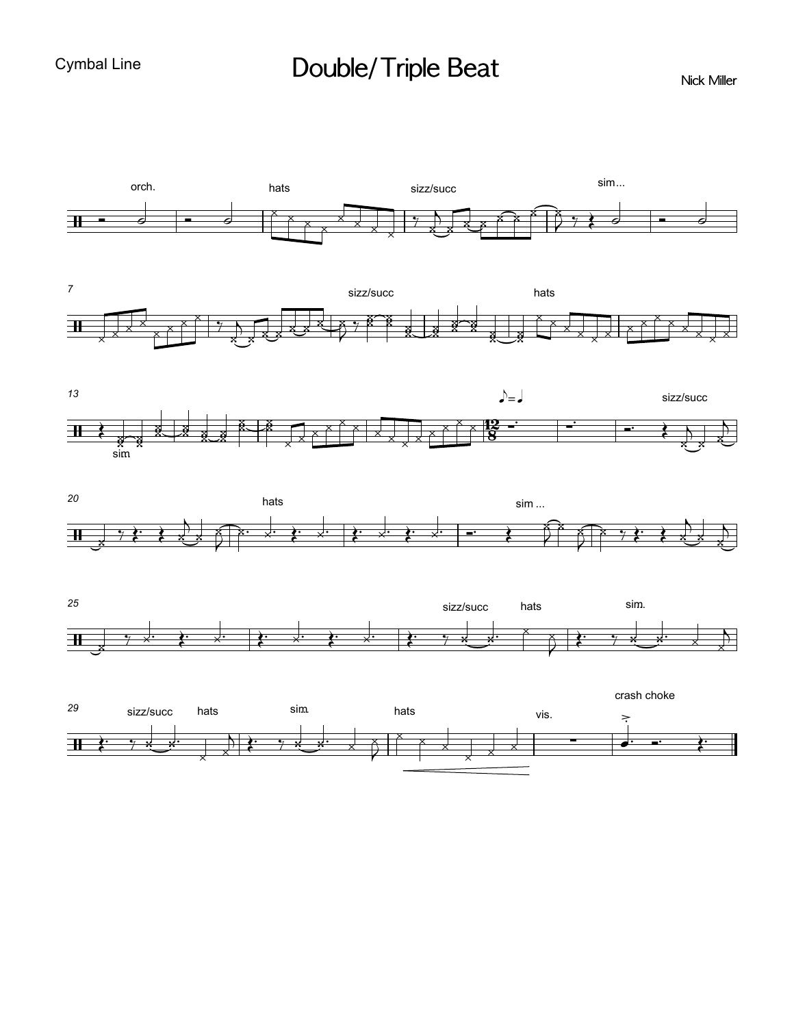## Double/Triple Beat

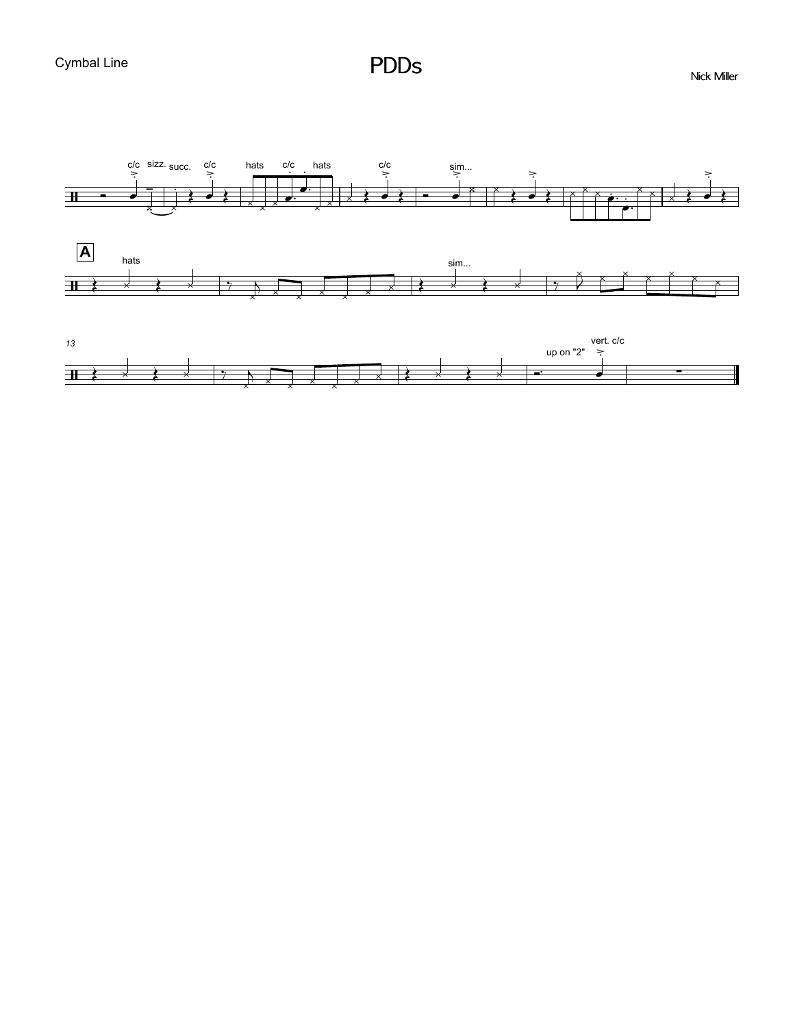

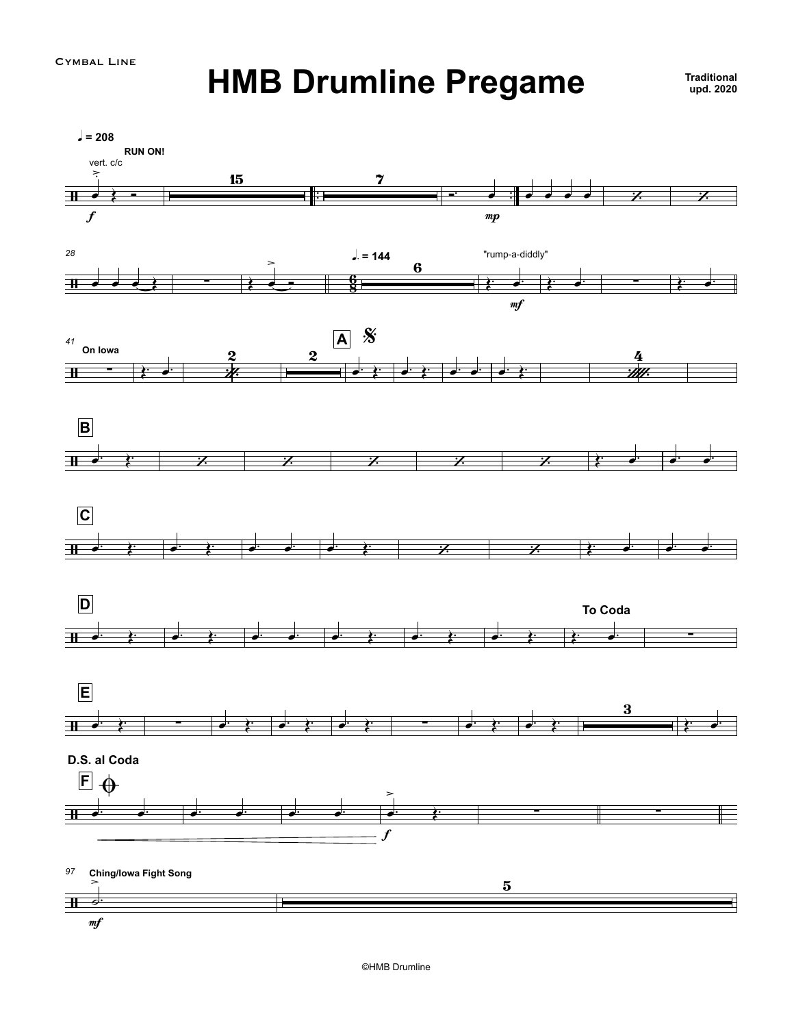## **HMB Drumline Pregame upd. <sup>2020</sup>**

**Traditional**upd. 2020

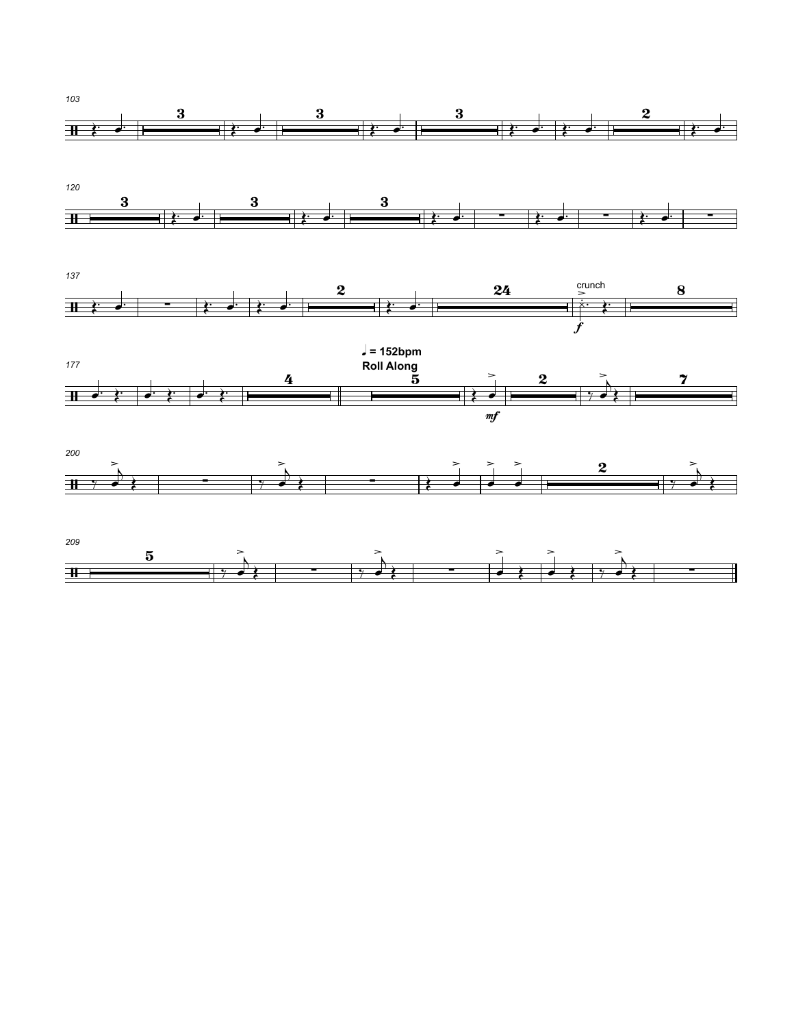



*137*  $\begin{array}{|c|c|c|c|c|c|}\hline \textbf{1} & \textbf{\&} & \textbf{\&} & \textbf{\&} & \textbf{\&} & \textbf{\&} & \textbf{\&} & \textbf{\&} & \textbf{\&} & \textbf{\&} & \textbf{\&} & \textbf{\&} & \textbf{\&} & \textbf{\&} & \textbf{\&} & \textbf{\&} & \textbf{\&} & \textbf{\&} & \textbf{\&} & \textbf{\&} & \textbf{\&} & \textbf{\&} & \textbf{\&} & \textbf{\&} & \textbf{\&} & \textbf{\&} & \textbf{\&} & \textbf{\&} & \textbf$ crunch  $\frac{1}{2}$ Œ™ œ™ Œ™ œ™ Œ™ œ™ Œ™ œ™ ¿ £ ™ Œ™ f





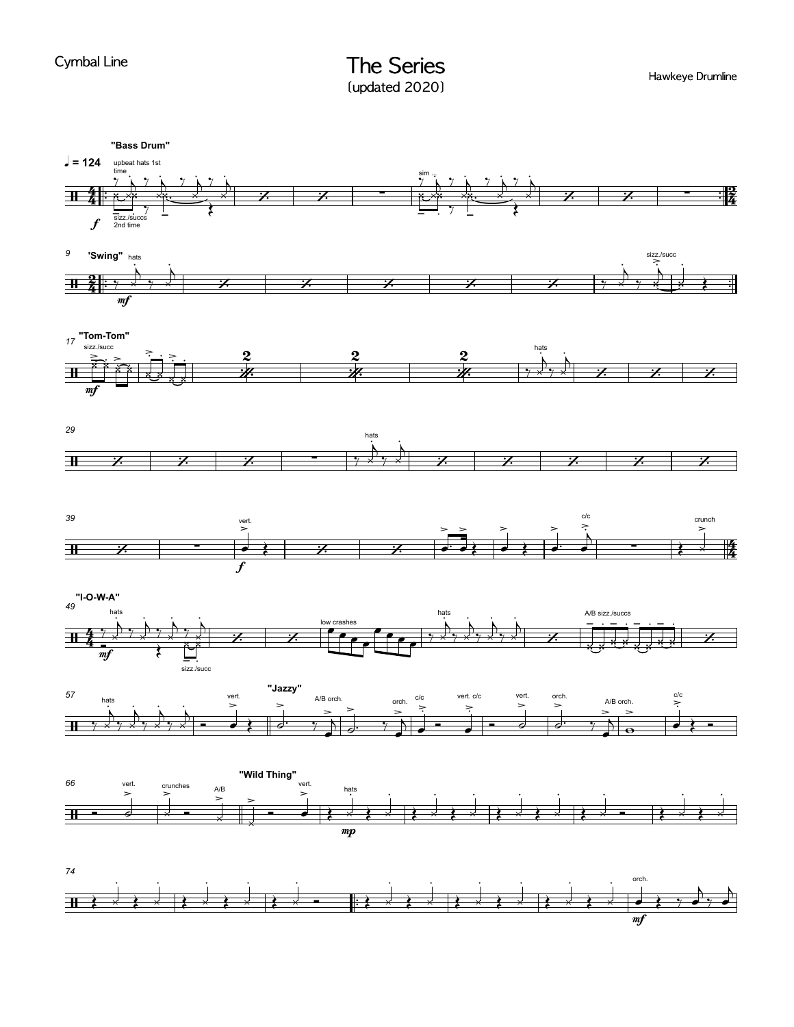